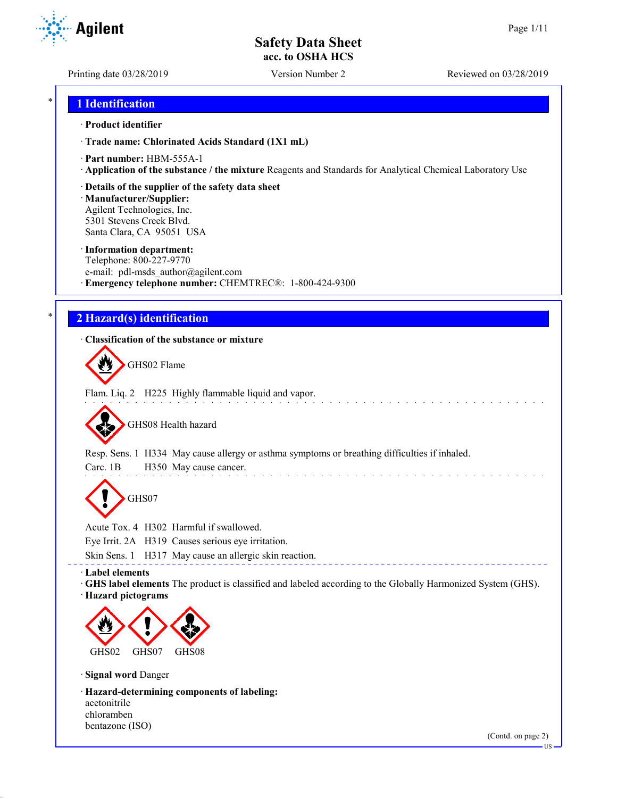**Agilent** 

Printing date 03/28/2019 Version Number 2 Reviewed on 03/28/2019

## \* **1 Identification**

### · **Product identifier**

· **Trade name: Chlorinated Acids Standard (1X1 mL)**

- · **Part number:** HBM-555A-1
- · **Application of the substance / the mixture** Reagents and Standards for Analytical Chemical Laboratory Use
- · **Details of the supplier of the safety data sheet**

· **Manufacturer/Supplier:** Agilent Technologies, Inc. 5301 Stevens Creek Blvd. Santa Clara, CA 95051 USA

### · **Information department:**

Telephone: 800-227-9770 e-mail: pdl-msds author@agilent.com · **Emergency telephone number:** CHEMTREC®: 1-800-424-9300

## \* **2 Hazard(s) identification**

### · **Classification of the substance or mixture**

GHS02 Flame

Flam. Liq. 2 H225 Highly flammable liquid and vapor.

GHS08 Health hazard

Resp. Sens. 1 H334 May cause allergy or asthma symptoms or breathing difficulties if inhaled.

Carc. 1B H350 May cause cancer.

GHS07

Acute Tox. 4 H302 Harmful if swallowed.

Eye Irrit. 2A H319 Causes serious eye irritation.

Skin Sens. 1 H317 May cause an allergic skin reaction.

· **Label elements**

· **GHS label elements** The product is classified and labeled according to the Globally Harmonized System (GHS).

and the company

\_\_\_\_\_\_\_\_\_\_\_\_\_\_\_\_\_

· **Hazard pictograms**



· **Signal word** Danger

· **Hazard-determining components of labeling:** acetonitrile chloramben bentazone (ISO)

(Contd. on page 2)

and a state of the state

US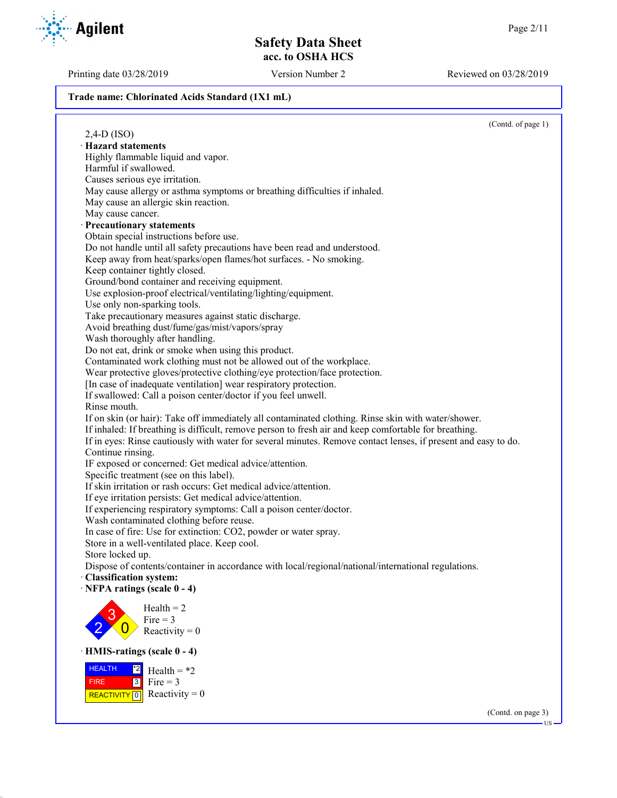Printing date 03/28/2019 Version Number 2 Reviewed on 03/28/2019

#### **Trade name: Chlorinated Acids Standard (1X1 mL)**

**Agilent** 

(Contd. of page 1) 2,4-D (ISO) · **Hazard statements** Highly flammable liquid and vapor. Harmful if swallowed. Causes serious eye irritation. May cause allergy or asthma symptoms or breathing difficulties if inhaled. May cause an allergic skin reaction. May cause cancer. · **Precautionary statements** Obtain special instructions before use. Do not handle until all safety precautions have been read and understood. Keep away from heat/sparks/open flames/hot surfaces. - No smoking. Keep container tightly closed. Ground/bond container and receiving equipment. Use explosion-proof electrical/ventilating/lighting/equipment. Use only non-sparking tools. Take precautionary measures against static discharge. Avoid breathing dust/fume/gas/mist/vapors/spray Wash thoroughly after handling. Do not eat, drink or smoke when using this product. Contaminated work clothing must not be allowed out of the workplace. Wear protective gloves/protective clothing/eye protection/face protection. [In case of inadequate ventilation] wear respiratory protection. If swallowed: Call a poison center/doctor if you feel unwell. Rinse mouth. If on skin (or hair): Take off immediately all contaminated clothing. Rinse skin with water/shower. If inhaled: If breathing is difficult, remove person to fresh air and keep comfortable for breathing. If in eyes: Rinse cautiously with water for several minutes. Remove contact lenses, if present and easy to do. Continue rinsing. IF exposed or concerned: Get medical advice/attention. Specific treatment (see on this label). If skin irritation or rash occurs: Get medical advice/attention. If eye irritation persists: Get medical advice/attention. If experiencing respiratory symptoms: Call a poison center/doctor. Wash contaminated clothing before reuse. In case of fire: Use for extinction: CO2, powder or water spray. Store in a well-ventilated place. Keep cool. Store locked up. Dispose of contents/container in accordance with local/regional/national/international regulations. · **Classification system:** · **NFPA ratings (scale 0 - 4)** 2 3  $\overline{0}$  $Health = 2$ Fire  $= 3$ Reactivity  $= 0$ · **HMIS-ratings (scale 0 - 4) HEALTH**  FIRE REACTIVITY  $\boxed{0}$  Reactivity = 0  $\frac{12}{2}$  Health = \*2  $3$  Fire = 3

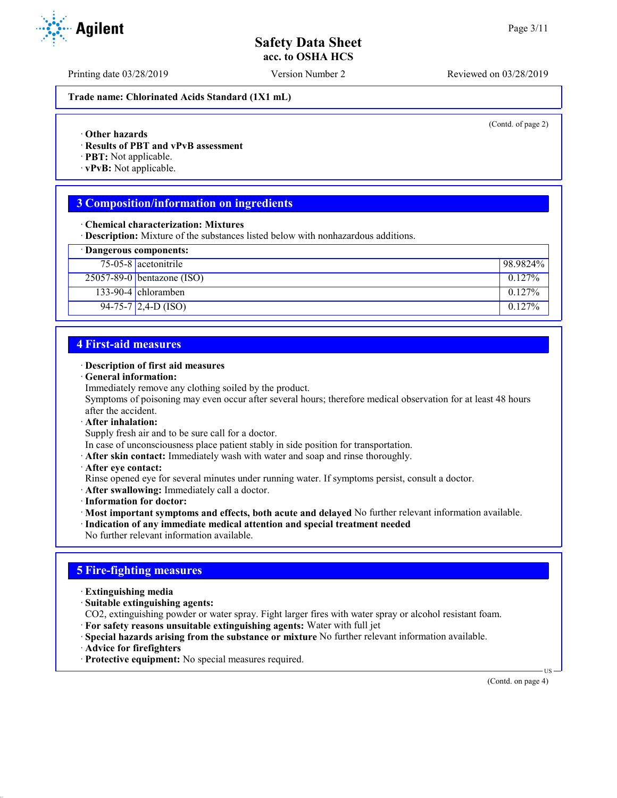Printing date 03/28/2019 Version Number 2 Reviewed on 03/28/2019

**Trade name: Chlorinated Acids Standard (1X1 mL)**

(Contd. of page 2)

- · **Other hazards**
- · **Results of PBT and vPvB assessment**
- · **PBT:** Not applicable.
- · **vPvB:** Not applicable.

## **3 Composition/information on ingredients**

· **Chemical characterization: Mixtures**

· **Description:** Mixture of the substances listed below with nonhazardous additions.

|  | · Dangerous components: |
|--|-------------------------|
|  |                         |

| 75-05-8 acetonitrile         | $198.9824\%$ |
|------------------------------|--------------|
| $25057-89-0$ bentazone (ISO) | $0.127\%$    |
| 133-90-4 chloramben          | $0.127\%$    |
| $94-75-7$ 2,4-D (ISO)        | $0.127\%$    |

## **4 First-aid measures**

### · **Description of first aid measures**

· **General information:**

Immediately remove any clothing soiled by the product.

Symptoms of poisoning may even occur after several hours; therefore medical observation for at least 48 hours after the accident.

· **After inhalation:**

Supply fresh air and to be sure call for a doctor.

- In case of unconsciousness place patient stably in side position for transportation.
- · **After skin contact:** Immediately wash with water and soap and rinse thoroughly.
- · **After eye contact:**
- Rinse opened eye for several minutes under running water. If symptoms persist, consult a doctor.
- · **After swallowing:** Immediately call a doctor.
- · **Information for doctor:**
- · **Most important symptoms and effects, both acute and delayed** No further relevant information available.
- · **Indication of any immediate medical attention and special treatment needed**
- No further relevant information available.

## **5 Fire-fighting measures**

- · **Extinguishing media**
- · **Suitable extinguishing agents:**

CO2, extinguishing powder or water spray. Fight larger fires with water spray or alcohol resistant foam.

- · **For safety reasons unsuitable extinguishing agents:** Water with full jet
- · **Special hazards arising from the substance or mixture** No further relevant information available.
- · **Advice for firefighters**
- · **Protective equipment:** No special measures required.

(Contd. on page 4)

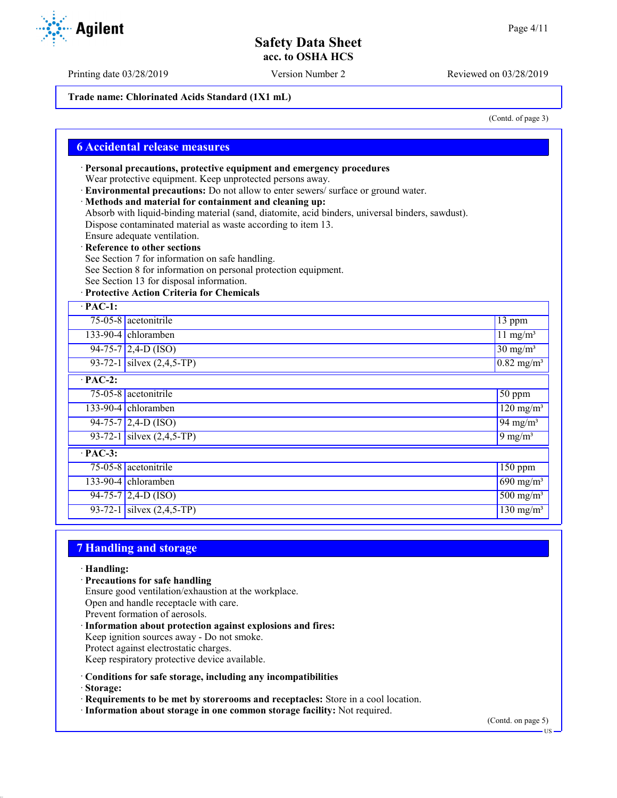**Trade name: Chlorinated Acids Standard (1X1 mL)**

(Contd. of page 3)

|                      | · Personal precautions, protective equipment and emergency procedures                            |                                   |
|----------------------|--------------------------------------------------------------------------------------------------|-----------------------------------|
|                      | Wear protective equipment. Keep unprotected persons away.                                        |                                   |
|                      | · Environmental precautions: Do not allow to enter sewers/ surface or ground water.              |                                   |
|                      | · Methods and material for containment and cleaning up:                                          |                                   |
|                      | Absorb with liquid-binding material (sand, diatomite, acid binders, universal binders, sawdust). |                                   |
|                      | Dispose contaminated material as waste according to item 13.                                     |                                   |
|                      | Ensure adequate ventilation.                                                                     |                                   |
|                      | · Reference to other sections                                                                    |                                   |
|                      | See Section 7 for information on safe handling.                                                  |                                   |
|                      | See Section 8 for information on personal protection equipment.                                  |                                   |
|                      | See Section 13 for disposal information.<br>· Protective Action Criteria for Chemicals           |                                   |
| $\overline{PAC-1}$ : |                                                                                                  |                                   |
|                      | 75-05-8 acetonitrile                                                                             | $13$ ppm                          |
|                      | 133-90-4 chloramben                                                                              | $11$ mg/m <sup>3</sup>            |
|                      | $94-75-7$ 2,4-D (ISO)                                                                            | $30 \text{ mg/m}^3$               |
|                      | 93-72-1 silvex $(2, 4, 5-TP)$                                                                    | $0.82$ mg/m <sup>3</sup>          |
| $\overline{PAC-2}$ : |                                                                                                  |                                   |
|                      | 75-05-8 acetonitrile                                                                             | $50$ ppm                          |
|                      | 133-90-4 chloramben                                                                              | $\frac{120 \text{ mg/m}^3}{2}$    |
|                      | $94-75-7$ 2,4-D (ISO)                                                                            | $94 \text{ mg/m}^3$               |
|                      | 93-72-1 silvex $(2, 4, 5-TP)$                                                                    | $9 \text{ mg/m}^3$                |
| $\overline{PAC-3}$ : |                                                                                                  |                                   |
|                      | 75-05-8 acetonitrile                                                                             | 150 ppm                           |
|                      | 133-90-4 chloramben                                                                              | $690$ mg/m <sup>3</sup>           |
|                      | $94-75-7$ 2,4-D (ISO)                                                                            | $500$ mg/m <sup>3</sup>           |
|                      | 93-72-1 silvex $(2,4,5-TP)$                                                                      | $\frac{130 \text{ mg}}{\text{m}}$ |

## **7 Handling and storage**

· **Handling:**

- · **Precautions for safe handling**
- Ensure good ventilation/exhaustion at the workplace. Open and handle receptacle with care.

Prevent formation of aerosols.

· **Information about protection against explosions and fires:**

Keep ignition sources away - Do not smoke.

Protect against electrostatic charges.

Keep respiratory protective device available.

· **Conditions for safe storage, including any incompatibilities**

· **Storage:**

· **Requirements to be met by storerooms and receptacles:** Store in a cool location.

· **Information about storage in one common storage facility:** Not required.

(Contd. on page 5)

US

Printing date 03/28/2019 Version Number 2 Reviewed on 03/28/2019

**Agilent**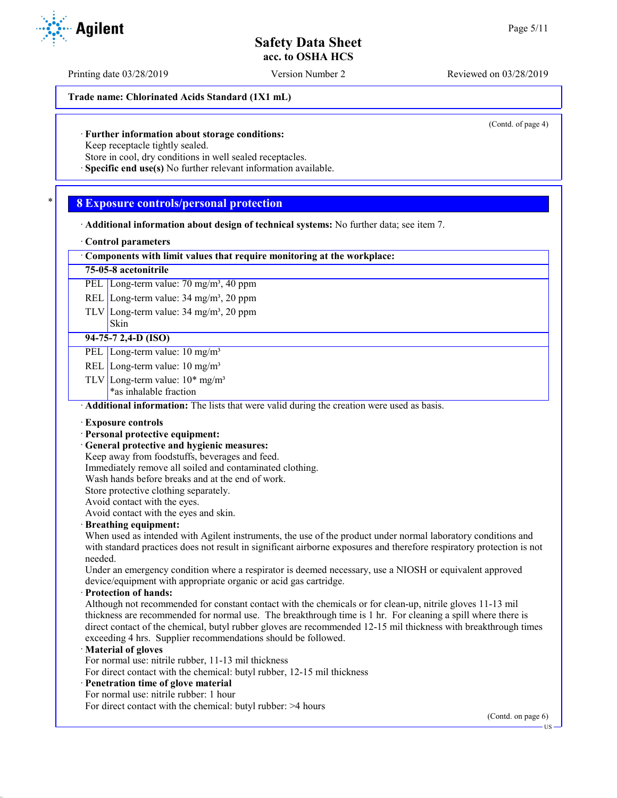Printing date 03/28/2019 Version Number 2 Reviewed on 03/28/2019

**Trade name: Chlorinated Acids Standard (1X1 mL)**

(Contd. of page 4)

### · **Further information about storage conditions:**

Keep receptacle tightly sealed.

Store in cool, dry conditions in well sealed receptacles.

· **Specific end use(s)** No further relevant information available.

### \* **8 Exposure controls/personal protection**

· **Additional information about design of technical systems:** No further data; see item 7.

#### · **Control parameters**

· **Components with limit values that require monitoring at the workplace:**

### **75-05-8 acetonitrile**

PEL Long-term value: 70 mg/m<sup>3</sup>, 40 ppm

REL Long-term value: 34 mg/m<sup>3</sup>, 20 ppm

TLV Long-term value:  $34 \text{ mg/m}^3$ ,  $20 \text{ ppm}$ 

# **94-75-7 2,4-D (ISO)**

Skin

PEL Long-term value: 10 mg/m<sup>3</sup>

- REL Long-term value: 10 mg/m<sup>3</sup>
- TLV Long-term value:  $10^*$  mg/m<sup>3</sup>
	- \*as inhalable fraction

· **Additional information:** The lists that were valid during the creation were used as basis.

#### · **Exposure controls**

### · **Personal protective equipment:**

· **General protective and hygienic measures:**

Keep away from foodstuffs, beverages and feed.

Immediately remove all soiled and contaminated clothing.

Wash hands before breaks and at the end of work.

Store protective clothing separately.

Avoid contact with the eyes.

Avoid contact with the eyes and skin.

### · **Breathing equipment:**

When used as intended with Agilent instruments, the use of the product under normal laboratory conditions and with standard practices does not result in significant airborne exposures and therefore respiratory protection is not needed.

Under an emergency condition where a respirator is deemed necessary, use a NIOSH or equivalent approved device/equipment with appropriate organic or acid gas cartridge.

#### · **Protection of hands:**

Although not recommended for constant contact with the chemicals or for clean-up, nitrile gloves 11-13 mil thickness are recommended for normal use. The breakthrough time is 1 hr. For cleaning a spill where there is direct contact of the chemical, butyl rubber gloves are recommended 12-15 mil thickness with breakthrough times exceeding 4 hrs. Supplier recommendations should be followed.

### · **Material of gloves**

For normal use: nitrile rubber, 11-13 mil thickness

For direct contact with the chemical: butyl rubber, 12-15 mil thickness

- · **Penetration time of glove material**
- For normal use: nitrile rubber: 1 hour

For direct contact with the chemical: butyl rubber: >4 hours

(Contd. on page 6)

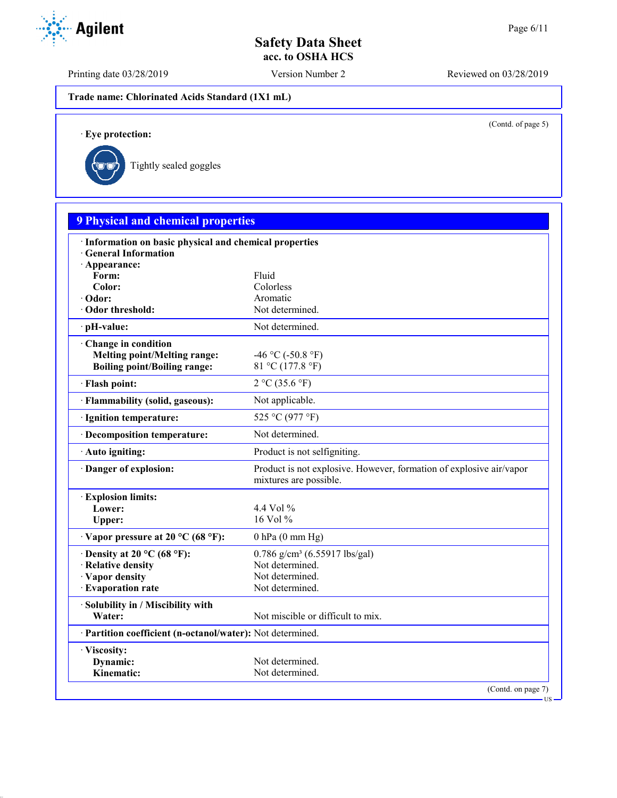Printing date 03/28/2019 Version Number 2 Reviewed on 03/28/2019

**Trade name: Chlorinated Acids Standard (1X1 mL)**

(Contd. of page 5)

US

· **Eye protection:**



| · Information on basic physical and chemical properties<br><b>General Information</b><br>· Appearance:<br>Fluid<br>Form:<br>Color:<br>Colorless<br>Aromatic<br>· Odor:<br>Not determined.<br>Odor threshold:<br>Not determined.<br>· pH-value:<br>Change in condition<br><b>Melting point/Melting range:</b><br>-46 °C (-50.8 °F)<br>81 °C (177.8 °F)<br><b>Boiling point/Boiling range:</b><br>2 °C (35.6 °F)<br>· Flash point:<br>· Flammability (solid, gaseous):<br>Not applicable.<br>525 °C (977 °F)<br>· Ignition temperature:<br>· Decomposition temperature:<br>Not determined.<br>Product is not selfigniting.<br>· Auto igniting:<br>Danger of explosion:<br>mixtures are possible.<br><b>Explosion limits:</b><br>Lower:<br>4.4 Vol $\%$<br>16 Vol %<br>Upper:<br>$\cdot$ Vapor pressure at 20 °C (68 °F):<br>$0$ hPa $(0$ mm Hg)<br>$0.786$ g/cm <sup>3</sup> (6.55917 lbs/gal)<br>$\cdot$ Density at 20 °C (68 °F):<br>Not determined.<br>· Relative density<br>Not determined.<br>· Vapor density<br>· Evaporation rate<br>Not determined.<br>· Solubility in / Miscibility with<br>Not miscible or difficult to mix.<br>Water:<br>· Partition coefficient (n-octanol/water): Not determined. | <b>9 Physical and chemical properties</b> |                                                                     |              |  |  |
|--------------------------------------------------------------------------------------------------------------------------------------------------------------------------------------------------------------------------------------------------------------------------------------------------------------------------------------------------------------------------------------------------------------------------------------------------------------------------------------------------------------------------------------------------------------------------------------------------------------------------------------------------------------------------------------------------------------------------------------------------------------------------------------------------------------------------------------------------------------------------------------------------------------------------------------------------------------------------------------------------------------------------------------------------------------------------------------------------------------------------------------------------------------------------------------------------------------|-------------------------------------------|---------------------------------------------------------------------|--------------|--|--|
|                                                                                                                                                                                                                                                                                                                                                                                                                                                                                                                                                                                                                                                                                                                                                                                                                                                                                                                                                                                                                                                                                                                                                                                                              |                                           |                                                                     |              |  |  |
|                                                                                                                                                                                                                                                                                                                                                                                                                                                                                                                                                                                                                                                                                                                                                                                                                                                                                                                                                                                                                                                                                                                                                                                                              |                                           |                                                                     |              |  |  |
|                                                                                                                                                                                                                                                                                                                                                                                                                                                                                                                                                                                                                                                                                                                                                                                                                                                                                                                                                                                                                                                                                                                                                                                                              |                                           |                                                                     |              |  |  |
|                                                                                                                                                                                                                                                                                                                                                                                                                                                                                                                                                                                                                                                                                                                                                                                                                                                                                                                                                                                                                                                                                                                                                                                                              |                                           |                                                                     |              |  |  |
|                                                                                                                                                                                                                                                                                                                                                                                                                                                                                                                                                                                                                                                                                                                                                                                                                                                                                                                                                                                                                                                                                                                                                                                                              |                                           |                                                                     |              |  |  |
|                                                                                                                                                                                                                                                                                                                                                                                                                                                                                                                                                                                                                                                                                                                                                                                                                                                                                                                                                                                                                                                                                                                                                                                                              |                                           |                                                                     |              |  |  |
|                                                                                                                                                                                                                                                                                                                                                                                                                                                                                                                                                                                                                                                                                                                                                                                                                                                                                                                                                                                                                                                                                                                                                                                                              |                                           |                                                                     |              |  |  |
|                                                                                                                                                                                                                                                                                                                                                                                                                                                                                                                                                                                                                                                                                                                                                                                                                                                                                                                                                                                                                                                                                                                                                                                                              |                                           |                                                                     |              |  |  |
|                                                                                                                                                                                                                                                                                                                                                                                                                                                                                                                                                                                                                                                                                                                                                                                                                                                                                                                                                                                                                                                                                                                                                                                                              |                                           |                                                                     |              |  |  |
|                                                                                                                                                                                                                                                                                                                                                                                                                                                                                                                                                                                                                                                                                                                                                                                                                                                                                                                                                                                                                                                                                                                                                                                                              |                                           |                                                                     |              |  |  |
|                                                                                                                                                                                                                                                                                                                                                                                                                                                                                                                                                                                                                                                                                                                                                                                                                                                                                                                                                                                                                                                                                                                                                                                                              |                                           |                                                                     |              |  |  |
|                                                                                                                                                                                                                                                                                                                                                                                                                                                                                                                                                                                                                                                                                                                                                                                                                                                                                                                                                                                                                                                                                                                                                                                                              |                                           |                                                                     |              |  |  |
|                                                                                                                                                                                                                                                                                                                                                                                                                                                                                                                                                                                                                                                                                                                                                                                                                                                                                                                                                                                                                                                                                                                                                                                                              |                                           |                                                                     |              |  |  |
|                                                                                                                                                                                                                                                                                                                                                                                                                                                                                                                                                                                                                                                                                                                                                                                                                                                                                                                                                                                                                                                                                                                                                                                                              |                                           |                                                                     |              |  |  |
|                                                                                                                                                                                                                                                                                                                                                                                                                                                                                                                                                                                                                                                                                                                                                                                                                                                                                                                                                                                                                                                                                                                                                                                                              |                                           | Product is not explosive. However, formation of explosive air/vapor |              |  |  |
|                                                                                                                                                                                                                                                                                                                                                                                                                                                                                                                                                                                                                                                                                                                                                                                                                                                                                                                                                                                                                                                                                                                                                                                                              |                                           |                                                                     |              |  |  |
|                                                                                                                                                                                                                                                                                                                                                                                                                                                                                                                                                                                                                                                                                                                                                                                                                                                                                                                                                                                                                                                                                                                                                                                                              |                                           |                                                                     |              |  |  |
|                                                                                                                                                                                                                                                                                                                                                                                                                                                                                                                                                                                                                                                                                                                                                                                                                                                                                                                                                                                                                                                                                                                                                                                                              |                                           |                                                                     |              |  |  |
|                                                                                                                                                                                                                                                                                                                                                                                                                                                                                                                                                                                                                                                                                                                                                                                                                                                                                                                                                                                                                                                                                                                                                                                                              |                                           |                                                                     |              |  |  |
|                                                                                                                                                                                                                                                                                                                                                                                                                                                                                                                                                                                                                                                                                                                                                                                                                                                                                                                                                                                                                                                                                                                                                                                                              |                                           |                                                                     |              |  |  |
|                                                                                                                                                                                                                                                                                                                                                                                                                                                                                                                                                                                                                                                                                                                                                                                                                                                                                                                                                                                                                                                                                                                                                                                                              |                                           |                                                                     |              |  |  |
|                                                                                                                                                                                                                                                                                                                                                                                                                                                                                                                                                                                                                                                                                                                                                                                                                                                                                                                                                                                                                                                                                                                                                                                                              |                                           |                                                                     |              |  |  |
|                                                                                                                                                                                                                                                                                                                                                                                                                                                                                                                                                                                                                                                                                                                                                                                                                                                                                                                                                                                                                                                                                                                                                                                                              |                                           |                                                                     |              |  |  |
|                                                                                                                                                                                                                                                                                                                                                                                                                                                                                                                                                                                                                                                                                                                                                                                                                                                                                                                                                                                                                                                                                                                                                                                                              |                                           |                                                                     |              |  |  |
|                                                                                                                                                                                                                                                                                                                                                                                                                                                                                                                                                                                                                                                                                                                                                                                                                                                                                                                                                                                                                                                                                                                                                                                                              |                                           |                                                                     |              |  |  |
|                                                                                                                                                                                                                                                                                                                                                                                                                                                                                                                                                                                                                                                                                                                                                                                                                                                                                                                                                                                                                                                                                                                                                                                                              |                                           |                                                                     |              |  |  |
|                                                                                                                                                                                                                                                                                                                                                                                                                                                                                                                                                                                                                                                                                                                                                                                                                                                                                                                                                                                                                                                                                                                                                                                                              |                                           |                                                                     | · Viscosity: |  |  |
| Dynamic:<br>Not determined.                                                                                                                                                                                                                                                                                                                                                                                                                                                                                                                                                                                                                                                                                                                                                                                                                                                                                                                                                                                                                                                                                                                                                                                  |                                           |                                                                     |              |  |  |
| Not determined.<br>Kinematic:                                                                                                                                                                                                                                                                                                                                                                                                                                                                                                                                                                                                                                                                                                                                                                                                                                                                                                                                                                                                                                                                                                                                                                                |                                           |                                                                     |              |  |  |

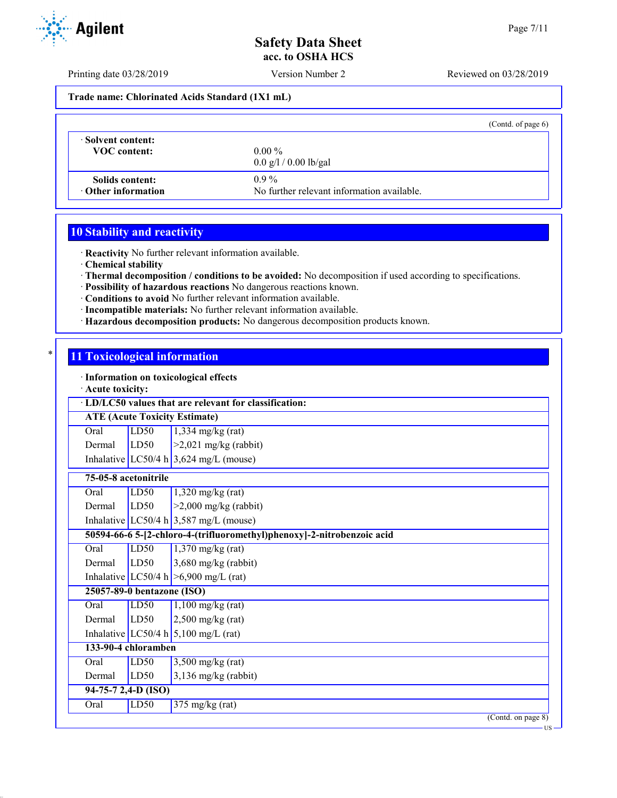Printing date 03/28/2019 Version Number 2 Reviewed on 03/28/2019

### **Trade name: Chlorinated Acids Standard (1X1 mL)**

|                           | (Contd. of page $6$ )                      |
|---------------------------|--------------------------------------------|
| Solvent content:          | $0.00\%$                                   |
| <b>VOC</b> content:       | $0.0 \frac{g}{1} / 0.00 \frac{g}{g}$ al    |
| Solids content:           | $0.9\%$                                    |
| $\cdot$ Other information | No further relevant information available. |

## **10 Stability and reactivity**

· **Reactivity** No further relevant information available.

· **Chemical stability**

· **Thermal decomposition / conditions to be avoided:** No decomposition if used according to specifications.

- · **Possibility of hazardous reactions** No dangerous reactions known.
- · **Conditions to avoid** No further relevant information available.
- · **Incompatible materials:** No further relevant information available.
- · **Hazardous decomposition products:** No dangerous decomposition products known.

# \* **11 Toxicological information**

· **Information on toxicological effects**

· **Acute toxicity:**

|                      | reute toxicity<br>· LD/LC50 values that are relevant for classification: |                                                                        |  |  |  |
|----------------------|--------------------------------------------------------------------------|------------------------------------------------------------------------|--|--|--|
|                      | <b>ATE (Acute Toxicity Estimate)</b>                                     |                                                                        |  |  |  |
| Oral                 | LD50                                                                     | $1,334$ mg/kg (rat)                                                    |  |  |  |
| Dermal               | LD50                                                                     | $>2,021$ mg/kg (rabbit)                                                |  |  |  |
|                      |                                                                          | Inhalative LC50/4 h $3,624$ mg/L (mouse)                               |  |  |  |
| 75-05-8 acetonitrile |                                                                          |                                                                        |  |  |  |
| Oral                 | LD50                                                                     | $1,320$ mg/kg (rat)                                                    |  |  |  |
| Dermal               | LD <sub>50</sub>                                                         | $>2,000$ mg/kg (rabbit)                                                |  |  |  |
|                      |                                                                          | Inhalative LC50/4 h $3,587$ mg/L (mouse)                               |  |  |  |
|                      |                                                                          | 50594-66-6 5-[2-chloro-4-(trifluoromethyl)phenoxy]-2-nitrobenzoic acid |  |  |  |
| Oral                 | LD50                                                                     | $1,370$ mg/kg (rat)                                                    |  |  |  |
| Dermal               | LD50                                                                     | 3,680 mg/kg (rabbit)                                                   |  |  |  |
|                      |                                                                          | Inhalative LC50/4 h $>6,900$ mg/L (rat)                                |  |  |  |
|                      | 25057-89-0 bentazone (ISO)                                               |                                                                        |  |  |  |
| Oral                 | LD50                                                                     | $1,100$ mg/kg (rat)                                                    |  |  |  |
| Dermal               | LD50                                                                     | $2,500$ mg/kg (rat)                                                    |  |  |  |
|                      |                                                                          | Inhalative LC50/4 h $5,100$ mg/L (rat)                                 |  |  |  |
|                      | 133-90-4 chloramben                                                      |                                                                        |  |  |  |
| Oral                 | LD <sub>50</sub>                                                         | $3,500$ mg/kg (rat)                                                    |  |  |  |
| Dermal               | LD50                                                                     | $3,136$ mg/kg (rabbit)                                                 |  |  |  |
| 94-75-7 2,4-D (ISO)  |                                                                          |                                                                        |  |  |  |
| Oral                 | LD50                                                                     | $375 \text{ mg/kg}$ (rat)                                              |  |  |  |
|                      |                                                                          | (Contd. on page 8)<br>$US -$                                           |  |  |  |

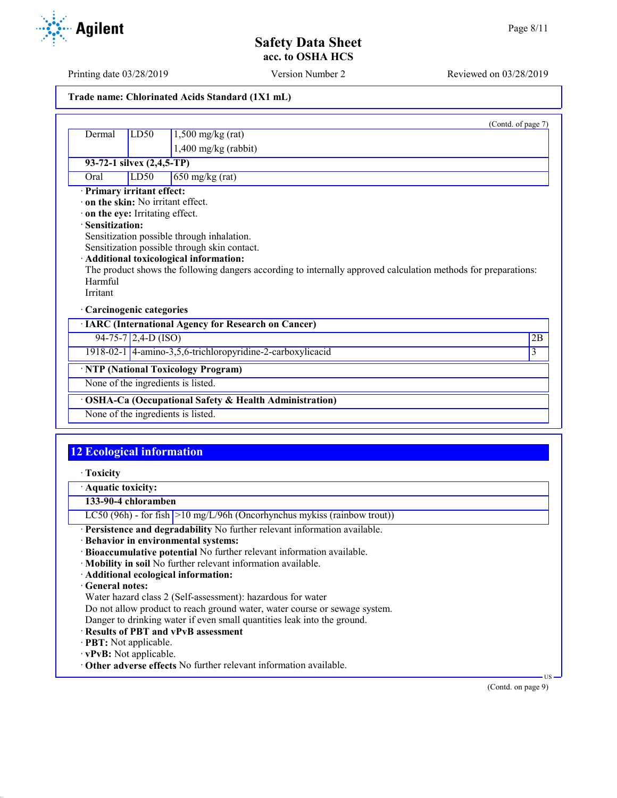Printing date 03/28/2019 Version Number 2 Reviewed on 03/28/2019

| Trade name: Chlorinated Acids Standard (1X1 mL) |  |
|-------------------------------------------------|--|

|                                                                                                                                                                                  |                                                       |                                                                                                                                                                                                                                                         | (Contd. of page 7) |  |
|----------------------------------------------------------------------------------------------------------------------------------------------------------------------------------|-------------------------------------------------------|---------------------------------------------------------------------------------------------------------------------------------------------------------------------------------------------------------------------------------------------------------|--------------------|--|
| Dermal                                                                                                                                                                           | LD <sub>50</sub>                                      | $1,500$ mg/kg (rat)                                                                                                                                                                                                                                     |                    |  |
|                                                                                                                                                                                  |                                                       | 1,400 mg/kg (rabbit)                                                                                                                                                                                                                                    |                    |  |
| 93-72-1 silvex (2,4,5-TP)                                                                                                                                                        |                                                       |                                                                                                                                                                                                                                                         |                    |  |
| Oral                                                                                                                                                                             | LD50                                                  | $650$ mg/kg (rat)                                                                                                                                                                                                                                       |                    |  |
| · Primary irritant effect:<br>$\cdot$ on the skin: No irritant effect.<br>on the eye: Irritating effect.<br>· Sensitization:<br>Harmful<br>Irritant<br>· Carcinogenic categories |                                                       | Sensitization possible through inhalation.<br>Sensitization possible through skin contact.<br>· Additional toxicological information:<br>The product shows the following dangers according to internally approved calculation methods for preparations: |                    |  |
|                                                                                                                                                                                  |                                                       | · IARC (International Agency for Research on Cancer)                                                                                                                                                                                                    |                    |  |
|                                                                                                                                                                                  | $94-75-7$ 2,4-D (ISO)                                 |                                                                                                                                                                                                                                                         | 2B                 |  |
|                                                                                                                                                                                  |                                                       | 1918-02-1 4-amino-3,5,6-trichloropyridine-2-carboxylicacid                                                                                                                                                                                              | 3                  |  |
|                                                                                                                                                                                  | · NTP (National Toxicology Program)                   |                                                                                                                                                                                                                                                         |                    |  |
|                                                                                                                                                                                  | None of the ingredients is listed.                    |                                                                                                                                                                                                                                                         |                    |  |
|                                                                                                                                                                                  | OSHA-Ca (Occupational Safety & Health Administration) |                                                                                                                                                                                                                                                         |                    |  |
|                                                                                                                                                                                  | None of the ingredients is listed.                    |                                                                                                                                                                                                                                                         |                    |  |
|                                                                                                                                                                                  |                                                       |                                                                                                                                                                                                                                                         |                    |  |
| <b>12 Ecological information</b>                                                                                                                                                 |                                                       |                                                                                                                                                                                                                                                         |                    |  |

· **Toxicity**

· **Aquatic toxicity:**

**133-90-4 chloramben**

LC50 (96h) - for fish  $>10$  mg/L/96h (Oncorhynchus mykiss (rainbow trout))

- · **Persistence and degradability** No further relevant information available.
- · **Behavior in environmental systems:**
- · **Bioaccumulative potential** No further relevant information available.
- · **Mobility in soil** No further relevant information available.
- · **Additional ecological information:**

### · **General notes:**

Water hazard class 2 (Self-assessment): hazardous for water

Do not allow product to reach ground water, water course or sewage system.

Danger to drinking water if even small quantities leak into the ground.

- · **Results of PBT and vPvB assessment**
- · **PBT:** Not applicable.
- · **vPvB:** Not applicable.
- · **Other adverse effects** No further relevant information available.

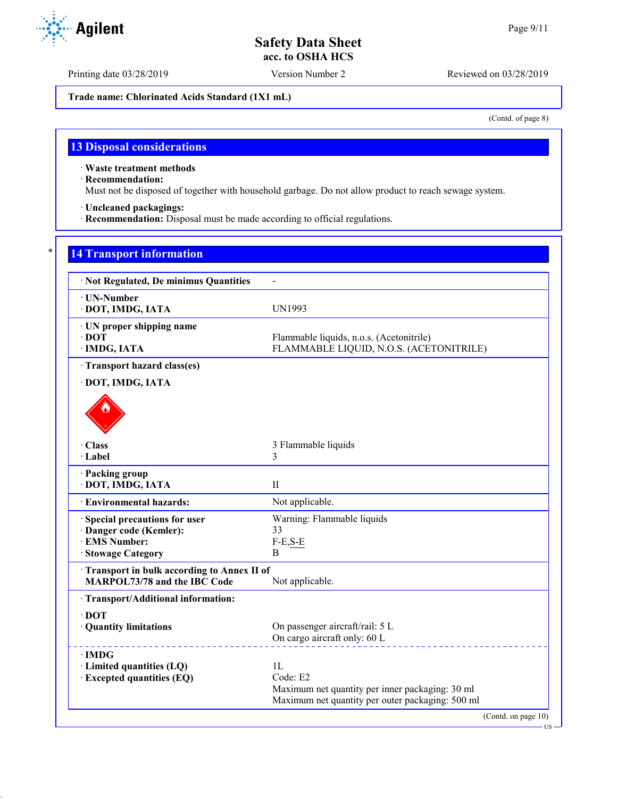Printing date 03/28/2019 Version Number 2 Reviewed on 03/28/2019

**Trade name: Chlorinated Acids Standard (1X1 mL)**

(Contd. of page 8)

# **13 Disposal considerations**

· **Waste treatment methods**

· **Recommendation:**

Must not be disposed of together with household garbage. Do not allow product to reach sewage system.

· **Uncleaned packagings:**

· **Recommendation:** Disposal must be made according to official regulations.

## **14 Transport information**

| · Not Regulated, De minimus Quantities                                                         |                                                                                                                       |
|------------------------------------------------------------------------------------------------|-----------------------------------------------------------------------------------------------------------------------|
| · UN-Number<br>· DOT, IMDG, IATA                                                               | <b>UN1993</b>                                                                                                         |
| · UN proper shipping name<br>$\cdot$ DOT<br>· IMDG, IATA                                       | Flammable liquids, n.o.s. (Acetonitrile)<br>FLAMMABLE LIQUID, N.O.S. (ACETONITRILE)                                   |
| · Transport hazard class(es)                                                                   |                                                                                                                       |
| · DOT, IMDG, IATA                                                                              |                                                                                                                       |
|                                                                                                |                                                                                                                       |
| · Class<br>· Label                                                                             | 3 Flammable liquids<br>3                                                                                              |
| · Packing group<br>· DOT, IMDG, IATA                                                           | $\mathbf{H}$                                                                                                          |
| <b>Environmental hazards:</b>                                                                  | Not applicable.                                                                                                       |
| Special precautions for user<br>· Danger code (Kemler):<br>· EMS Number:<br>· Stowage Category | Warning: Flammable liquids<br>33<br>$F-E, S-E$<br>B                                                                   |
| Transport in bulk according to Annex II of<br><b>MARPOL73/78 and the IBC Code</b>              | Not applicable.                                                                                                       |
| · Transport/Additional information:                                                            |                                                                                                                       |
| $\cdot$ DOT<br>· Quantity limitations                                                          | On passenger aircraft/rail: 5 L<br>On cargo aircraft only: 60 L                                                       |
| $\cdot$ IMDG<br>· Limited quantities (LQ)<br><b>Excepted quantities (EQ)</b>                   | 1L<br>Code: E2<br>Maximum net quantity per inner packaging: 30 ml<br>Maximum net quantity per outer packaging: 500 ml |
|                                                                                                | (Contd. on page 10)                                                                                                   |

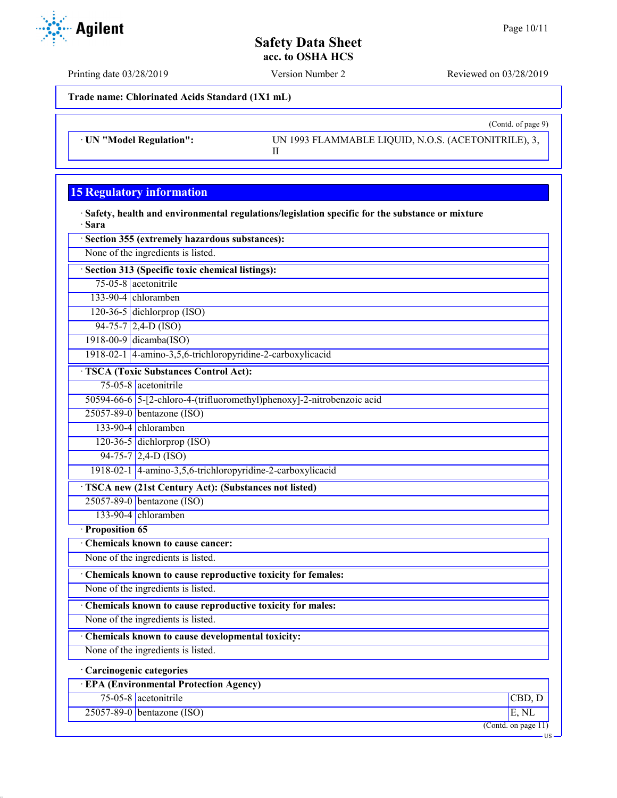(Contd. of page 9)

# **Safety Data Sheet acc. to OSHA HCS**

Printing date 03/28/2019 Version Number 2 Reviewed on 03/28/2019

**Trade name: Chlorinated Acids Standard (1X1 mL)**

· **UN "Model Regulation":** UN 1993 FLAMMABLE LIQUID, N.O.S. (ACETONITRILE), 3, II

# **15 Regulatory information**

· **Safety, health and environmental regulations/legislation specific for the substance or mixture** · **Sara**

| · Section 355 (extremely hazardous substances):                        |                                         |
|------------------------------------------------------------------------|-----------------------------------------|
| None of the ingredients is listed.                                     |                                         |
| · Section 313 (Specific toxic chemical listings):                      |                                         |
| 75-05-8 acetonitrile                                                   |                                         |
| 133-90-4 chloramben                                                    |                                         |
| $120-36-5$ dichlorprop (ISO)                                           |                                         |
| $94-75-7$ 2,4-D (ISO)                                                  |                                         |
| 1918-00-9 dicamba(ISO)                                                 |                                         |
| 1918-02-1 4-amino-3,5,6-trichloropyridine-2-carboxylicacid             |                                         |
| <b>TSCA (Toxic Substances Control Act):</b>                            |                                         |
| 75-05-8 acetonitrile                                                   |                                         |
| 50594-66-6 5-[2-chloro-4-(trifluoromethyl)phenoxy]-2-nitrobenzoic acid |                                         |
| 25057-89-0 bentazone (ISO)                                             |                                         |
| 133-90-4 chloramben                                                    |                                         |
| 120-36-5 dichlorprop $(ISO)$                                           |                                         |
| 94-75-7 2,4-D (ISO)                                                    |                                         |
| 1918-02-1 4-amino-3,5,6-trichloropyridine-2-carboxylicacid             |                                         |
| <b>TSCA new (21st Century Act): (Substances not listed)</b>            |                                         |
| 25057-89-0 bentazone (ISO)                                             |                                         |
| 133-90-4 chloramben                                                    |                                         |
| · Proposition 65                                                       |                                         |
| Chemicals known to cause cancer:                                       |                                         |
| None of the ingredients is listed.                                     |                                         |
| Chemicals known to cause reproductive toxicity for females:            |                                         |
| None of the ingredients is listed.                                     |                                         |
| Chemicals known to cause reproductive toxicity for males:              |                                         |
| None of the ingredients is listed.                                     |                                         |
| Chemicals known to cause developmental toxicity:                       |                                         |
| None of the ingredients is listed.                                     |                                         |
| · Carcinogenic categories                                              |                                         |
| <b>EPA (Environmental Protection Agency)</b>                           |                                         |
| 75-05-8 acetonitrile                                                   | CBD, D                                  |
| 25057-89-0 bentazone (ISO)                                             | E, NL                                   |
|                                                                        | $\overline{(\text{Contd. on page 11})}$ |